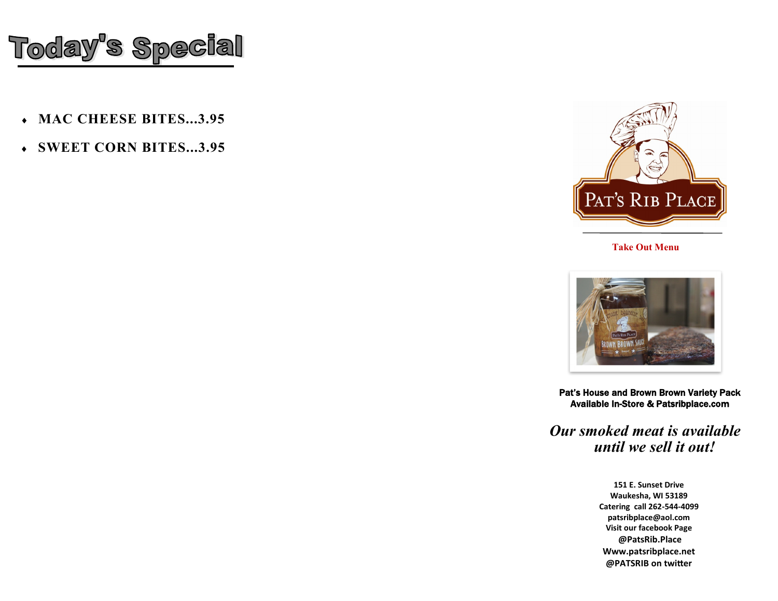

- **MAC CHEESE BITES...3.95**
- **SWEET CORN BITES...3.95**



**Take Out Menu**



Pat's House and Brown Brown Variety Pack Available In-Store & Patsribplace.com

*Our smoked meat is available until we sell it out!*

> **151 E. Sunset Drive Waukesha, WI 53189 Catering call 262-544-4099 patsribplace@aol.com Visit our facebook Page @PatsRib.Place Www.patsribplace.net @PATSRIB on twitter**